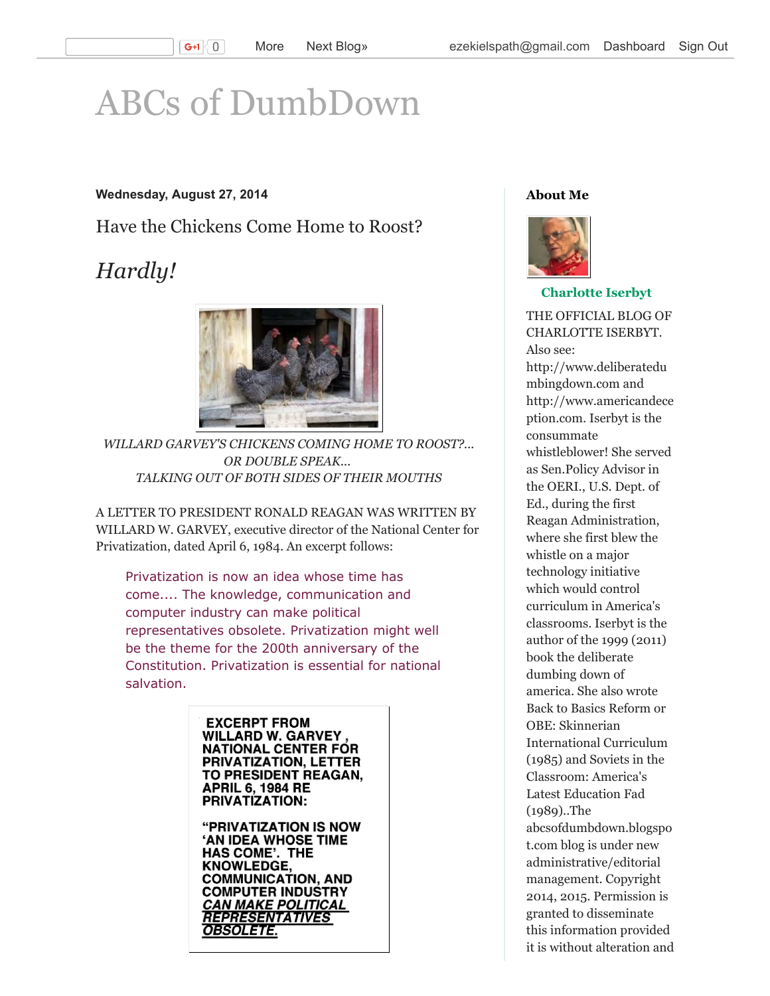# [ABCs of DumbDown](http://abcsofdumbdown.blogspot.com/)

#### Wednesday, August 27, 2014

Have the Chickens Come Home to Roost?

# *Hardly!*



*WILLARD GARVEY'S CHICKENS COMING HOME TO ROOST?... OR DOUBLE SPEAK... TALKING OUT OF BOTH SIDES OF THEIR MOUTHS*

A LETTER TO PRESIDENT RONALD REAGAN WAS WRITTEN BY WILLARD W. GARVEY, executive director of the National Center for Privatization, dated April 6, 1984. An excerpt follows:

Privatization is now an idea whose time has come.... The knowledge, communication and computer industry can make political representatives obsolete. Privatization might well be the theme for the 200th anniversary of the Constitution. Privatization is essential for national salvation.

> **EXCERPT FROM WILLARD W. GARVEY NATIONAL CENTER FOR** PRIVATIZATION, LETTER **TO PRESIDENT REAGAN, APRIL 6, 1984 RE PRIVATIZATION:**

**"PRIVATIZATION IS NOW 'AN IDEA WHOSE TIME HAS COME'. THE KNOWLEDGE, COMMUNICATION, AND COMPUTER INDUSTRY** CAN MAKE POLITICAL **REPRESENTATIVES** OBSOLETE.

#### About Me



#### [Charlotte Iserbyt](https://www.blogger.com/profile/01956087775568116744)

THE OFFICIAL BLOG OF CHARLOTTE ISERBYT. Also see: http://www.deliberatedu mbingdown.com and http://www.americandece ption.com. Iserbyt is the consummate whistleblower! She served as Sen.Policy Advisor in the OERI., U.S. Dept. of Ed., during the first Reagan Administration, where she first blew the whistle on a major technology initiative which would control curriculum in America's classrooms. Iserbyt is the author of the 1999 (2011) book the deliberate dumbing down of america. She also wrote Back to Basics Reform or OBE: Skinnerian International Curriculum (1985) and Soviets in the Classroom: America's Latest Education Fad (1989)..The abcsofdumbdown.blogspo t.com blog is under new administrative/editorial management. Copyright 2014, 2015. Permission is granted to disseminate this information provided it is without alteration and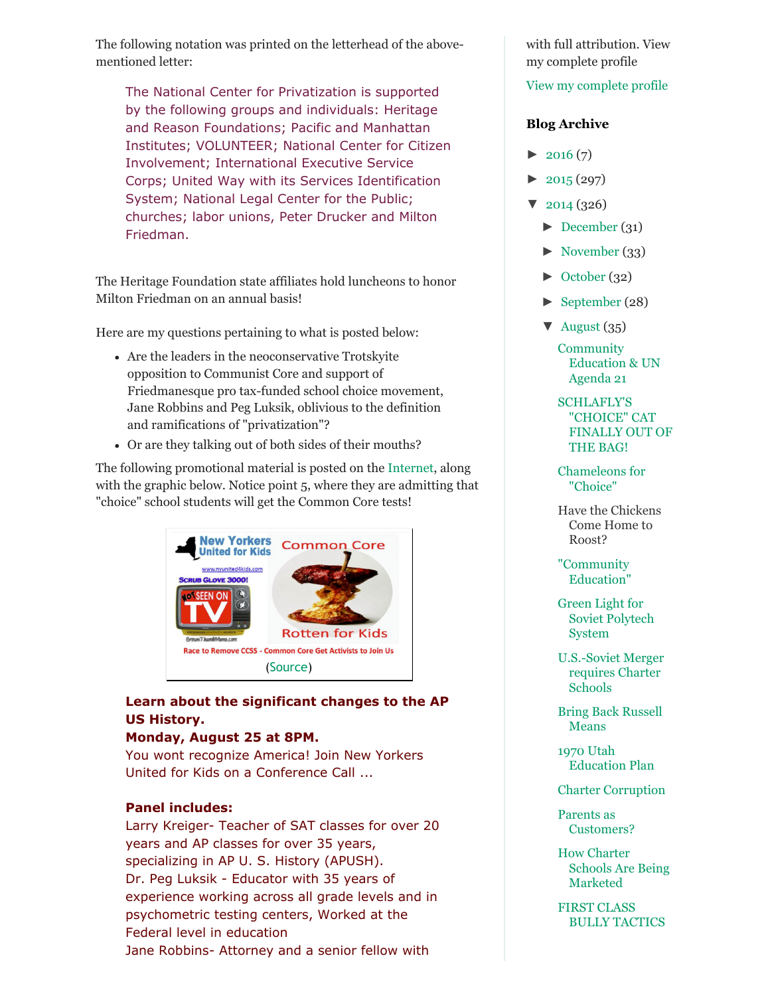The following notation was printed on the letterhead of the abovementioned letter:

The National Center for Privatization is supported by the following groups and individuals: Heritage and Reason Foundations; Pacific and Manhattan Institutes; VOLUNTEER; National Center for Citizen Involvement; International Executive Service Corps; United Way with its Services Identification System; National Legal Center for the Public; churches; labor unions, Peter Drucker and Milton Friedman.

The Heritage Foundation state affiliates hold luncheons to honor Milton Friedman on an annual basis!

Here are my questions pertaining to what is posted below:

- Are the leaders in the neoconservative Trotskyite opposition to Communist Core and support of Friedmanesque pro tax-funded school choice movement, Jane Robbins and Peg Luksik, oblivious to the definition and ramifications of "privatization"?
- Or are they talking out of both sides of their mouths?

The following promotional material is posted on the [Internet,](http://us8.campaign-archive2.com/?u=8d440a18b673c20cf098ef634&id=43a1e6d930&e=9d0bfa58a4) along with the graphic below. Notice point 5, where they are admitting that "choice" school students will get the Common Core tests!



# Learn about the significant changes to the AP US History.

## Monday, August 25 at 8PM.

You wont recognize America! Join New Yorkers United for Kids on a Conference Call ...

## Panel includes:

Larry Kreiger- Teacher of SAT classes for over 20 years and AP classes for over 35 years, specializing in AP U. S. History (APUSH). Dr. Peg Luksik - Educator with 35 years of experience working across all grade levels and in psychometric testing centers, Worked at the Federal level in education Jane Robbins- Attorney and a senior fellow with

with full attribution. View my complete profile

#### [View my complete profile](https://www.blogger.com/profile/01956087775568116744)

#### Blog Archive

- $\blacktriangleright$  [2016](http://abcsofdumbdown.blogspot.com/search?updated-min=2016-01-01T00:00:00-08:00&updated-max=2017-01-01T00:00:00-08:00&max-results=7) (7)
- $\blacktriangleright$  [2015 \(](http://abcsofdumbdown.blogspot.com/search?updated-min=2015-01-01T00:00:00-08:00&updated-max=2016-01-01T00:00:00-08:00&max-results=50)297)
- $\blacktriangledown$  [2014](http://abcsofdumbdown.blogspot.com/search?updated-min=2014-01-01T00:00:00-08:00&updated-max=2015-01-01T00:00:00-08:00&max-results=50) (326)
	- [►](javascript:void(0)) [December \(](http://abcsofdumbdown.blogspot.com/2014_12_01_archive.html)31)
	- [►](javascript:void(0)) [November](http://abcsofdumbdown.blogspot.com/2014_11_01_archive.html) (33)
	- [►](javascript:void(0)) [October](http://abcsofdumbdown.blogspot.com/2014_10_01_archive.html) (32)
	- [►](javascript:void(0)) [September \(](http://abcsofdumbdown.blogspot.com/2014_09_01_archive.html)28)
	- $\blacktriangledown$  [August \(](http://abcsofdumbdown.blogspot.com/2014_08_01_archive.html)35)

**Community** [Education & UN](http://abcsofdumbdown.blogspot.com/2014/08/community-education-un-agenda-21.html) Agenda 21

SCHLAFLY'S "CHOICE" CAT [FINALLY OUT OF](http://abcsofdumbdown.blogspot.com/2014/08/schlaflys-choice-cat-finally-out-of-bag.html) THE BAG!

[Chameleons for](http://abcsofdumbdown.blogspot.com/2014/08/chameleons-for-choice.html) "Choice"

[Have the Chickens](http://abcsofdumbdown.blogspot.com/2014/08/have-chickens-come-home-to-roose.html) Come Home to Roost?

["Community](http://abcsofdumbdown.blogspot.com/2014/08/community-education.html) Education"

[Green Light for](http://abcsofdumbdown.blogspot.com/2014/08/green-light-for-soviet-polytech-system.html) Soviet Polytech System

U.S.-Soviet Merger requires Charter Schools

[Bring Back Russell](http://abcsofdumbdown.blogspot.com/2014/08/bring-back-russell-means.html) Means

1970 Utah [Education Plan](http://abcsofdumbdown.blogspot.com/2014/08/1970-utah-education-plan.html)

[Charter Corruption](http://abcsofdumbdown.blogspot.com/2014/08/charter-corruption.html)

Parents as [Customers?](http://abcsofdumbdown.blogspot.com/2014/08/parents-as-customers.html)

How Charter [Schools Are Being](http://abcsofdumbdown.blogspot.com/2014/08/how-charter-schools-are-being-marketed.html) Marketed

FIRST CLASS [BULLY TACTICS](http://abcsofdumbdown.blogspot.com/2014/08/first-class-bully-tactics.html)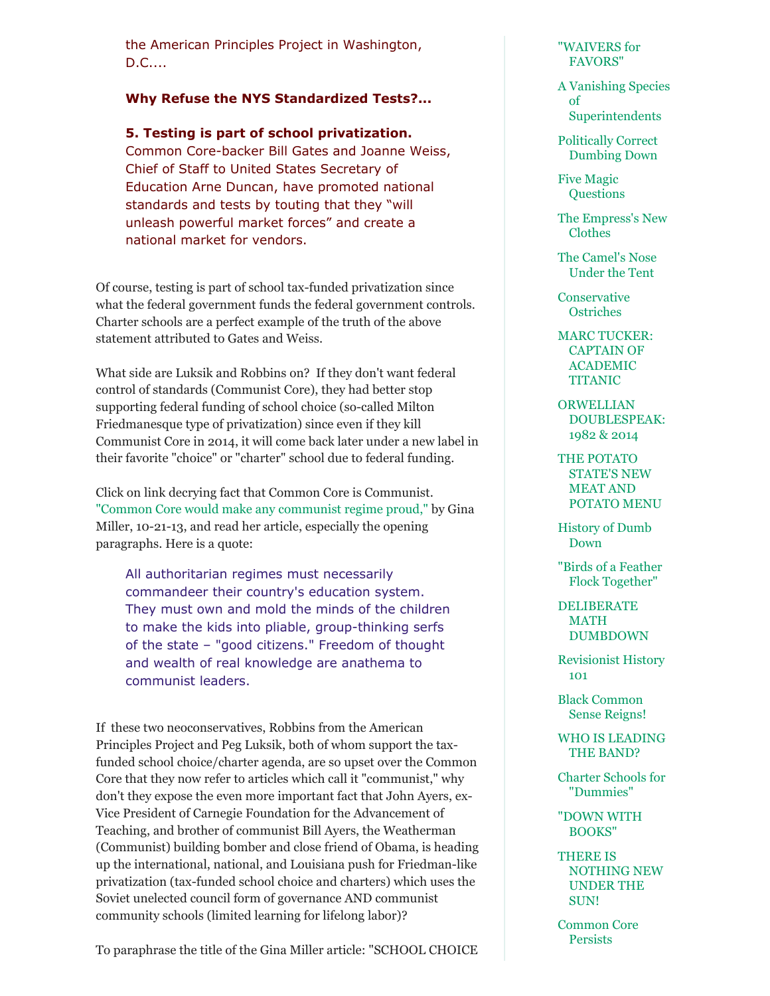the American Principles Project in Washington, D.C....

#### Why Refuse the NYS Standardized Tests?...

5. Testing is part of school privatization. Common Core-backer Bill Gates and Joanne Weiss, Chief of Staff to United States Secretary of Education Arne Duncan, have promoted national standards and tests by touting that they "will unleash powerful market forces" and create a national market for vendors.

Of course, testing is part of school tax-funded privatization since what the federal government funds the federal government controls. Charter schools are a perfect example of the truth of the above statement attributed to Gates and Weiss.

What side are Luksik and Robbins on? If they don't want federal control of standards (Communist Core), they had better stop supporting federal funding of school choice (so-called Milton Friedmanesque type of privatization) since even if they kill Communist Core in 2014, it will come back later under a new label in their favorite "choice" or "charter" school due to federal funding.

Click on link decrying fact that Common Core is Communist. ["Common Core would make any communist regime proud,"](http://www.renewamerica.com/columns/miller/131021) by Gina Miller, 10-21-13, and read her article, especially the opening paragraphs. Here is a quote:

All authoritarian regimes must necessarily commandeer their country's education system. They must own and mold the minds of the children to make the kids into pliable, group-thinking serfs of the state – "good citizens." Freedom of thought and wealth of real knowledge are anathema to communist leaders.

If these two neoconservatives, Robbins from the American Principles Project and Peg Luksik, both of whom support the taxfunded school choice/charter agenda, are so upset over the Common Core that they now refer to articles which call it "communist," why don't they expose the even more important fact that John Ayers, ex-Vice President of Carnegie Foundation for the Advancement of Teaching, and brother of communist Bill Ayers, the Weatherman (Communist) building bomber and close friend of Obama, is heading up the international, national, and Louisiana push for Friedman-like privatization (tax-funded school choice and charters) which uses the Soviet unelected council form of governance AND communist community schools (limited learning for lifelong labor)?

To paraphrase the title of the Gina Miller article: "SCHOOL CHOICE

#### ["WAIVERS for](http://abcsofdumbdown.blogspot.com/2014/08/waivers-for-favors.html) FAVORS"

[A Vanishing Species](http://abcsofdumbdown.blogspot.com/2014/08/a-vanishing-species-of-superintendents.html) of Superintendents

[Politically Correct](http://abcsofdumbdown.blogspot.com/2014/08/politically-correct-dumbing-down.html) Dumbing Down

[Five Magic](http://abcsofdumbdown.blogspot.com/2014/08/five-magic-questions.html) **Questions** 

[The Empress's New](http://abcsofdumbdown.blogspot.com/2014/08/the-empresss-new-clothes.html) Clothes

[The Camel's Nose](http://abcsofdumbdown.blogspot.com/2014/08/the-camels-nose-under-tent.html) Under the Tent

**[Conservative](http://abcsofdumbdown.blogspot.com/2014/08/conservative-ostriches.html) Ostriches** 

[MARC TUCKER:](http://abcsofdumbdown.blogspot.com/2014/08/marc-tucker-captain-of-academic-titanic.html) CAPTAIN OF ACADEMIC TITANIC

ORWELLIAN [DOUBLESPEAK:](http://abcsofdumbdown.blogspot.com/2014/08/orwellian-doublespeak-1982-2014.html) 1982 & 2014

THE POTATO STATE'S NEW MEAT AND [POTATO MENU](http://abcsofdumbdown.blogspot.com/2014/08/the-potato-states-new-meat-and-potato.html)

[History of Dumb](http://abcsofdumbdown.blogspot.com/2014/08/history-of-dumb-down.html) Down

["Birds of a Feather](http://abcsofdumbdown.blogspot.com/2014/08/birds-of-feather-flock-together.html) Flock Together"

[DELIBERATE](http://abcsofdumbdown.blogspot.com/2014/08/deliberate-math-dumbdown.html) MATH DUMBDOWN

[Revisionist History](http://abcsofdumbdown.blogspot.com/2014/08/revisionist-history-101.html) 101

[Black Common](http://abcsofdumbdown.blogspot.com/2014/08/black-common-sense-reigns.html) Sense Reigns!

[WHO IS LEADING](http://abcsofdumbdown.blogspot.com/2014/08/who-is-leading-band.html) THE BAND?

[Charter Schools for](http://abcsofdumbdown.blogspot.com/2014/08/charter-schools-for-dummies.html) "Dummies"

["DOWN WITH](http://abcsofdumbdown.blogspot.com/2014/08/down-with-books.html) BOOKS"

THERE IS [NOTHING NEW](http://abcsofdumbdown.blogspot.com/2014/08/there-is-nothing-new-under-sun.html) UNDER THE SUN!

[Common Core](http://abcsofdumbdown.blogspot.com/2014/08/common-core-persists.html) Persists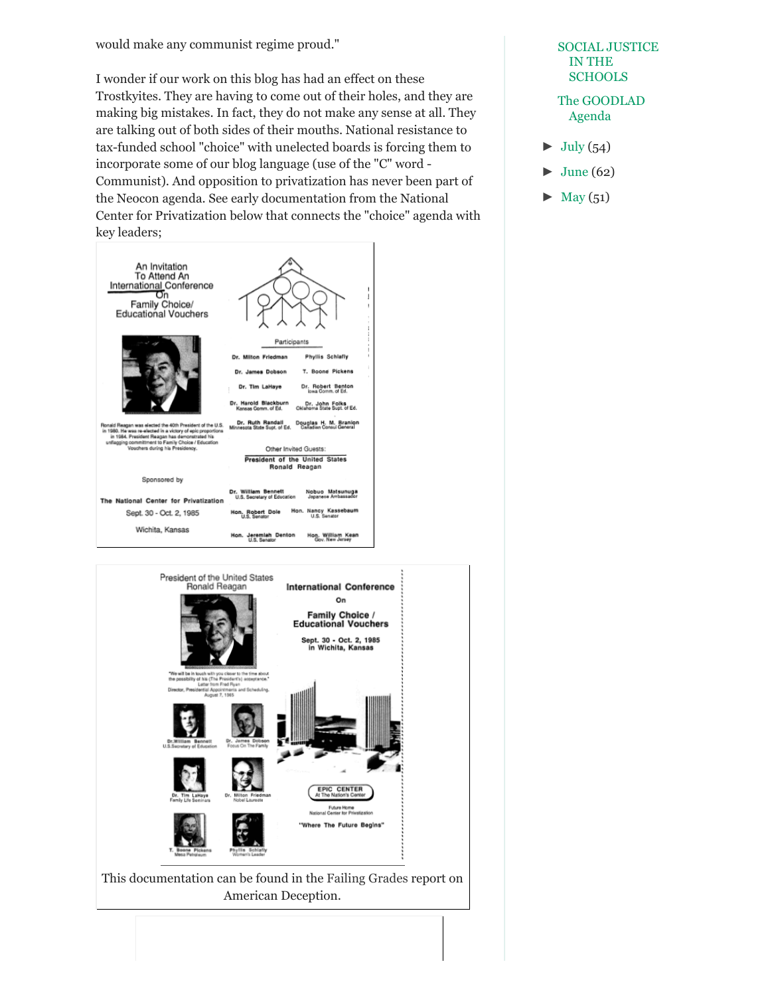would make any communist regime proud."

I wonder if our work on this blog has had an effect on these Trostkyites. They are having to come out of their holes, and they are making big mistakes. In fact, they do not make any sense at all. They are talking out of both sides of their mouths. National resistance to tax-funded school "choice" with unelected boards is forcing them to incorporate some of our blog language (use of the "C" word Communist). And opposition to privatization has never been part of the Neocon agenda. See early documentation from the National Center for Privatization below that connects the "choice" agenda with key leaders;





# [SOCIAL JUSTICE](http://abcsofdumbdown.blogspot.com/2014/08/social-justice-in-schools.html) IN THE **SCHOOLS** [The GOODLAD](http://abcsofdumbdown.blogspot.com/2014/08/the-goodlad-agenda.html)

 $\blacktriangleright$  [July \(](http://abcsofdumbdown.blogspot.com/2014_07_01_archive.html)54)

Agenda

- [June \(](http://abcsofdumbdown.blogspot.com/2014_06_01_archive.html)62)
- $May (51)$  $May (51)$